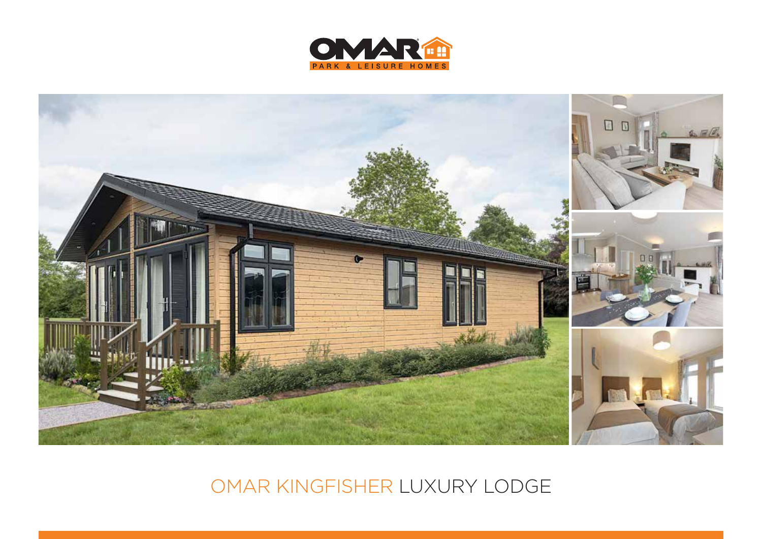



## OMAR KINGFISHER LUXURY LODGE